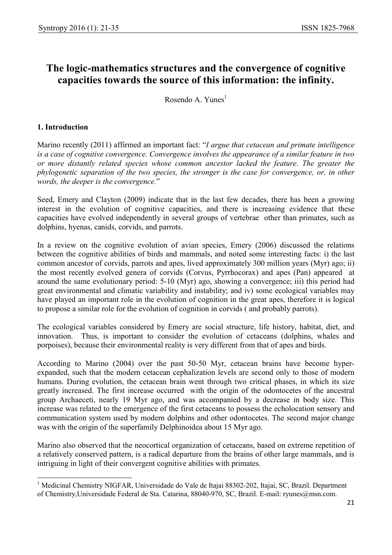# The logic-mathematics structures and the convergence of cognitive capacities towards the source of this information: the infinity.

Rosendo A. Yunes $<sup>1</sup>$ </sup>

### 1. Introduction

Marino recently (2011) affirmed an important fact: "I argue that cetacean and primate intelligence is a case of cognitive convergence. Convergence involves the appearance of a similar feature in two or more distantly related species whose common ancestor lacked the feature. The greater the phylogenetic separation of the two species, the stronger is the case for convergence, or, in other words, the deeper is the convergence."

Seed, Emery and Clayton (2009) indicate that in the last few decades, there has been a growing interest in the evolution of cognitive capacities, and there is increasing evidence that these capacities have evolved independently in several groups of vertebrae other than primates, such as dolphins, hyenas, canids, corvids, and parrots.

In a review on the cognitive evolution of avian species, Emery (2006) discussed the relations between the cognitive abilities of birds and mammals, and noted some interesting facts: i) the last common ancestor of corvids, parrots and apes, lived approximately 300 million years (Myr) ago; ii) the most recently evolved genera of corvids (Corvus, Pyrrhocorax) and apes (Pan) appeared at around the same evolutionary period: 5-10 (Myr) ago, showing a convergence; iii) this period had great environmental and climatic variability and instability; and iv) some ecological variables may have played an important role in the evolution of cognition in the great apes, therefore it is logical to propose a similar role for the evolution of cognition in corvids ( and probably parrots).

The ecological variables considered by Emery are social structure, life history, habitat, diet, and innovation. Thus, is important to consider the evolution of cetaceans (dolphins, whales and porpoises), because their environmental reality is very different from that of apes and birds.

According to Marino (2004) over the past 50-50 Myr, cetacean brains have become hyperexpanded, such that the modern cetacean cephalization levels are second only to those of modern humans. During evolution, the cetacean brain went through two critical phases, in which its size greatly increased. The first increase occurred with the origin of the odontocetes of the ancestral group Archaeceti, nearly 19 Myr ago, and was accompanied by a decrease in body size. This increase was related to the emergence of the first cetaceans to possess the echolocation sensory and communication system used by modern dolphins and other odontocetes. The second major change was with the origin of the superfamily Delphinoidea about 15 Myr ago.

Marino also observed that the neocortical organization of cetaceans, based on extreme repetition of a relatively conserved pattern, is a radical departure from the brains of other large mammals, and is intriguing in light of their convergent cognitive abilities with primates.

<sup>-</sup><sup>1</sup> Medicinal Chemistry NIGFAR, Universidade do Vale de Itajai 88302-202, Itajai, SC, Brazil. Department of Chemistry,Universidade Federal de Sta. Catarina, 88040-970, SC, Brazil. E-mail: ryunes@msn.com.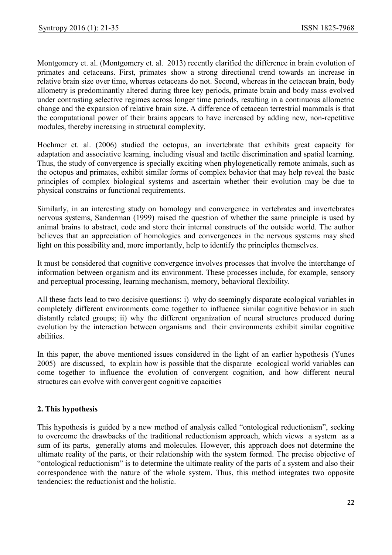Montgomery et. al. (Montgomery et. al. 2013) recently clarified the difference in brain evolution of primates and cetaceans. First, primates show a strong directional trend towards an increase in relative brain size over time, whereas cetaceans do not. Second, whereas in the cetacean brain, body allometry is predominantly altered during three key periods, primate brain and body mass evolved under contrasting selective regimes across longer time periods, resulting in a continuous allometric change and the expansion of relative brain size. A difference of cetacean terrestrial mammals is that the computational power of their brains appears to have increased by adding new, non-repetitive modules, thereby increasing in structural complexity.

Hochmer et. al. (2006) studied the octopus, an invertebrate that exhibits great capacity for adaptation and associative learning, including visual and tactile discrimination and spatial learning. Thus, the study of convergence is specially exciting when phylogenetically remote animals, such as the octopus and primates, exhibit similar forms of complex behavior that may help reveal the basic principles of complex biological systems and ascertain whether their evolution may be due to physical constrains or functional requirements.

Similarly, in an interesting study on homology and convergence in vertebrates and invertebrates nervous systems, Sanderman (1999) raised the question of whether the same principle is used by animal brains to abstract, code and store their internal constructs of the outside world. The author believes that an appreciation of homologies and convergences in the nervous systems may shed light on this possibility and, more importantly, help to identify the principles themselves.

It must be considered that cognitive convergence involves processes that involve the interchange of information between organism and its environment. These processes include, for example, sensory and perceptual processing, learning mechanism, memory, behavioral flexibility.

All these facts lead to two decisive questions: i) why do seemingly disparate ecological variables in completely different environments come together to influence similar cognitive behavior in such distantly related groups; ii) why the different organization of neural structures produced during evolution by the interaction between organisms and their environments exhibit similar cognitive abilities.

In this paper, the above mentioned issues considered in the light of an earlier hypothesis (Yunes 2005) are discussed, to explain how is possible that the disparate ecological world variables can come together to influence the evolution of convergent cognition, and how different neural structures can evolve with convergent cognitive capacities

# 2. This hypothesis

This hypothesis is guided by a new method of analysis called "ontological reductionism", seeking to overcome the drawbacks of the traditional reductionism approach, which views a system as a sum of its parts, generally atoms and molecules. However, this approach does not determine the ultimate reality of the parts, or their relationship with the system formed. The precise objective of "ontological reductionism" is to determine the ultimate reality of the parts of a system and also their correspondence with the nature of the whole system. Thus, this method integrates two opposite tendencies: the reductionist and the holistic.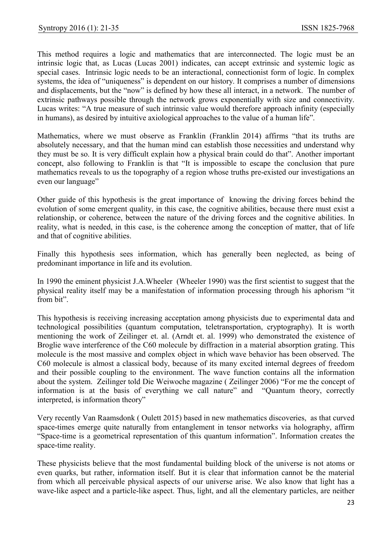This method requires a logic and mathematics that are interconnected. The logic must be an intrinsic logic that, as Lucas (Lucas 2001) indicates, can accept extrinsic and systemic logic as special cases. Intrinsic logic needs to be an interactional, connectionist form of logic. In complex systems, the idea of "uniqueness" is dependent on our history. It comprises a number of dimensions and displacements, but the "now" is defined by how these all interact, in a network. The number of extrinsic pathways possible through the network grows exponentially with size and connectivity. Lucas writes: "A true measure of such intrinsic value would therefore approach infinity (especially in humans), as desired by intuitive axiological approaches to the value of a human life".

Mathematics, where we must observe as Franklin (Franklin 2014) affirms "that its truths are absolutely necessary, and that the human mind can establish those necessities and understand why they must be so. It is very difficult explain how a physical brain could do that". Another important concept, also following to Franklin is that "It is impossible to escape the conclusion that pure mathematics reveals to us the topography of a region whose truths pre-existed our investigations an even our language"

Other guide of this hypothesis is the great importance of knowing the driving forces behind the evolution of some emergent quality, in this case, the cognitive abilities, because there must exist a relationship, or coherence, between the nature of the driving forces and the cognitive abilities. In reality, what is needed, in this case, is the coherence among the conception of matter, that of life and that of cognitive abilities.

Finally this hypothesis sees information, which has generally been neglected, as being of predominant importance in life and its evolution.

In 1990 the eminent physicist J.A.Wheeler (Wheeler 1990) was the first scientist to suggest that the physical reality itself may be a manifestation of information processing through his aphorism "it from bit".

This hypothesis is receiving increasing acceptation among physicists due to experimental data and technological possibilities (quantum computation, teletransportation, cryptography). It is worth mentioning the work of Zeilinger et. al. (Arndt et. al. 1999) who demonstrated the existence of Broglie wave interference of the C60 molecule by diffraction in a material absorption grating. This molecule is the most massive and complex object in which wave behavior has been observed. The C60 molecule is almost a classical body, because of its many excited internal degrees of freedom and their possible coupling to the environment. The wave function contains all the information about the system. Zeilinger told Die Weiwoche magazine ( Zeilinger 2006) "For me the concept of information is at the basis of everything we call nature" and "Quantum theory, correctly interpreted, is information theory"

Very recently Van Raamsdonk ( Oulett 2015) based in new mathematics discoveries, as that curved space-times emerge quite naturally from entanglement in tensor networks via holography, affirm "Space-time is a geometrical representation of this quantum information". Information creates the space-time reality.

These physicists believe that the most fundamental building block of the universe is not atoms or even quarks, but rather, information itself. But it is clear that information cannot be the material from which all perceivable physical aspects of our universe arise. We also know that light has a wave-like aspect and a particle-like aspect. Thus, light, and all the elementary particles, are neither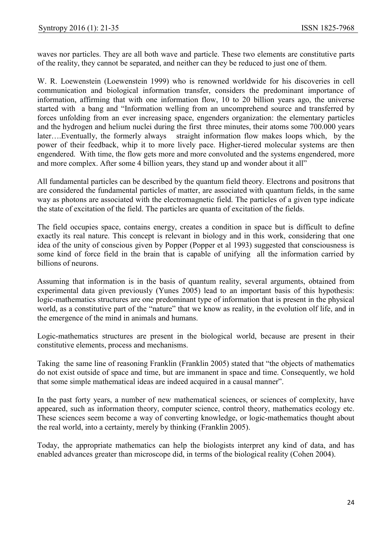waves nor particles. They are all both wave and particle. These two elements are constitutive parts of the reality, they cannot be separated, and neither can they be reduced to just one of them.

W. R. Loewenstein (Loewenstein 1999) who is renowned worldwide for his discoveries in cell communication and biological information transfer, considers the predominant importance of information, affirming that with one information flow, 10 to 20 billion years ago, the universe started with a bang and "Information welling from an uncomprehend source and transferred by forces unfolding from an ever increasing space, engenders organization: the elementary particles and the hydrogen and helium nuclei during the first three minutes, their atoms some 700.000 years later….Eventually, the formerly always straight information flow makes loops which, by the power of their feedback, whip it to more lively pace. Higher-tiered molecular systems are then engendered. With time, the flow gets more and more convoluted and the systems engendered, more and more complex. After some 4 billion years, they stand up and wonder about it all"

All fundamental particles can be described by the quantum field theory. Electrons and positrons that are considered the fundamental particles of matter, are associated with quantum fields, in the same way as photons are associated with the electromagnetic field. The particles of a given type indicate the state of excitation of the field. The particles are quanta of excitation of the fields.

The field occupies space, contains energy, creates a condition in space but is difficult to define exactly its real nature. This concept is relevant in biology and in this work, considering that one idea of the unity of conscious given by Popper (Popper et al 1993) suggested that consciousness is some kind of force field in the brain that is capable of unifying all the information carried by billions of neurons.

Assuming that information is in the basis of quantum reality, several arguments, obtained from experimental data given previously (Yunes 2005) lead to an important basis of this hypothesis: logic-mathematics structures are one predominant type of information that is present in the physical world, as a constitutive part of the "nature" that we know as reality, in the evolution olf life, and in the emergence of the mind in animals and humans.

Logic-mathematics structures are present in the biological world, because are present in their constitutive elements, process and mechanisms.

Taking the same line of reasoning Franklin (Franklin 2005) stated that "the objects of mathematics do not exist outside of space and time, but are immanent in space and time. Consequently, we hold that some simple mathematical ideas are indeed acquired in a causal manner".

In the past forty years, a number of new mathematical sciences, or sciences of complexity, have appeared, such as information theory, computer science, control theory, mathematics ecology etc. These sciences seem become a way of converting knowledge, or logic-mathematics thought about the real world, into a certainty, merely by thinking (Franklin 2005).

Today, the appropriate mathematics can help the biologists interpret any kind of data, and has enabled advances greater than microscope did, in terms of the biological reality (Cohen 2004).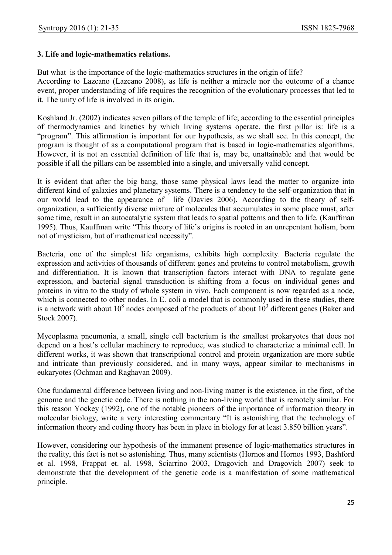### 3. Life and logic-mathematics relations.

But what is the importance of the logic-mathematics structures in the origin of life? According to Lazcano (Lazcano 2008), as life is neither a miracle nor the outcome of a chance event, proper understanding of life requires the recognition of the evolutionary processes that led to it. The unity of life is involved in its origin.

Koshland Jr. (2002) indicates seven pillars of the temple of life; according to the essential principles of thermodynamics and kinetics by which living systems operate, the first pillar is: life is a "program". This affirmation is important for our hypothesis, as we shall see. In this concept, the program is thought of as a computational program that is based in logic-mathematics algorithms. However, it is not an essential definition of life that is, may be, unattainable and that would be possible if all the pillars can be assembled into a single, and universally valid concept.

It is evident that after the big bang, those same physical laws lead the matter to organize into different kind of galaxies and planetary systems. There is a tendency to the self-organization that in our world lead to the appearance of life (Davies 2006). According to the theory of selforganization, a sufficiently diverse mixture of molecules that accumulates in some place must, after some time, result in an autocatalytic system that leads to spatial patterns and then to life. (Kauffman 1995). Thus, Kauffman write "This theory of life's origins is rooted in an unrepentant holism, born not of mysticism, but of mathematical necessity".

Bacteria, one of the simplest life organisms, exhibits high complexity. Bacteria regulate the expression and activities of thousands of different genes and proteins to control metabolism, growth and differentiation. It is known that transcription factors interact with DNA to regulate gene expression, and bacterial signal transduction is shifting from a focus on individual genes and proteins in vitro to the study of whole system in vivo. Each component is now regarded as a node, which is connected to other nodes. In E. coli a model that is commonly used in these studies, there is a network with about  $10^8$  nodes composed of the products of about  $10^3$  different genes (Baker and Stock 2007).

Mycoplasma pneumonia, a small, single cell bacterium is the smallest prokaryotes that does not depend on a host's cellular machinery to reproduce, was studied to characterize a minimal cell. In different works, it was shown that transcriptional control and protein organization are more subtle and intricate than previously considered, and in many ways, appear similar to mechanisms in eukaryotes (Ochman and Raghavan 2009).

One fundamental difference between living and non-living matter is the existence, in the first, of the genome and the genetic code. There is nothing in the non-living world that is remotely similar. For this reason Yockey (1992), one of the notable pioneers of the importance of information theory in molecular biology, write a very interesting commentary "It is astonishing that the technology of information theory and coding theory has been in place in biology for at least 3.850 billion years".

However, considering our hypothesis of the immanent presence of logic-mathematics structures in the reality, this fact is not so astonishing. Thus, many scientists (Hornos and Hornos 1993, Bashford et al. 1998, Frappat et. al. 1998, Sciarrino 2003, Dragovich and Dragovich 2007) seek to demonstrate that the development of the genetic code is a manifestation of some mathematical principle.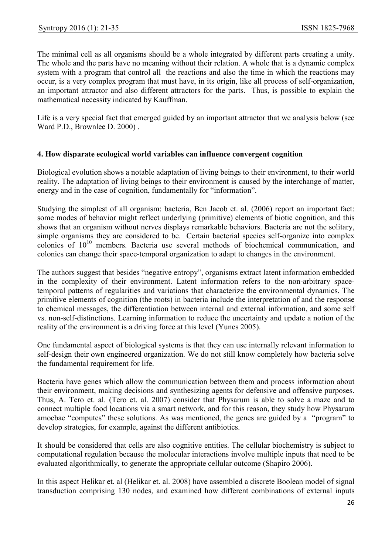The minimal cell as all organisms should be a whole integrated by different parts creating a unity. The whole and the parts have no meaning without their relation. A whole that is a dynamic complex system with a program that control all the reactions and also the time in which the reactions may occur, is a very complex program that must have, in its origin, like all process of self-organization, an important attractor and also different attractors for the parts. Thus, is possible to explain the mathematical necessity indicated by Kauffman.

Life is a very special fact that emerged guided by an important attractor that we analysis below (see Ward P.D., Brownlee D. 2000) .

#### 4. How disparate ecological world variables can influence convergent cognition

Biological evolution shows a notable adaptation of living beings to their environment, to their world reality. The adaptation of living beings to their environment is caused by the interchange of matter, energy and in the case of cognition, fundamentally for "information".

Studying the simplest of all organism: bacteria, Ben Jacob et. al. (2006) report an important fact: some modes of behavior might reflect underlying (primitive) elements of biotic cognition, and this shows that an organism without nerves displays remarkable behaviors. Bacteria are not the solitary, simple organisms they are considered to be. Certain bacterial species self-organize into complex colonies of  $10^{10}$  members. Bacteria use several methods of biochemical communication, and colonies can change their space-temporal organization to adapt to changes in the environment.

The authors suggest that besides "negative entropy", organisms extract latent information embedded in the complexity of their environment. Latent information refers to the non-arbitrary spacetemporal patterns of regularities and variations that characterize the environmental dynamics. The primitive elements of cognition (the roots) in bacteria include the interpretation of and the response to chemical messages, the differentiation between internal and external information, and some self vs. non-self-distinctions. Learning information to reduce the uncertainty and update a notion of the reality of the environment is a driving force at this level (Yunes 2005).

One fundamental aspect of biological systems is that they can use internally relevant information to self-design their own engineered organization. We do not still know completely how bacteria solve the fundamental requirement for life.

Bacteria have genes which allow the communication between them and process information about their environment, making decisions and synthesizing agents for defensive and offensive purposes. Thus, A. Tero et. al. (Tero et. al. 2007) consider that Physarum is able to solve a maze and to connect multiple food locations via a smart network, and for this reason, they study how Physarum amoebae "computes" these solutions. As was mentioned, the genes are guided by a "program" to develop strategies, for example, against the different antibiotics.

It should be considered that cells are also cognitive entities. The cellular biochemistry is subject to computational regulation because the molecular interactions involve multiple inputs that need to be evaluated algorithmically, to generate the appropriate cellular outcome (Shapiro 2006).

In this aspect Helikar et. al (Helikar et. al. 2008) have assembled a discrete Boolean model of signal transduction comprising 130 nodes, and examined how different combinations of external inputs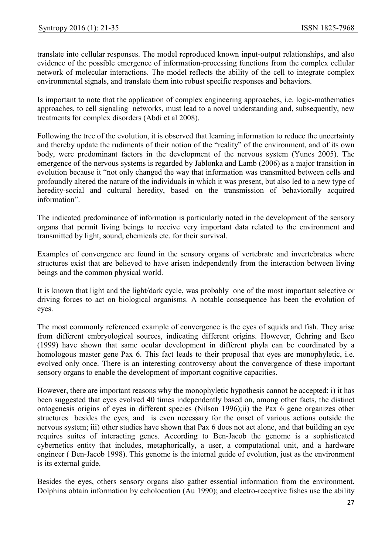translate into cellular responses. The model reproduced known input-output relationships, and also evidence of the possible emergence of information-processing functions from the complex cellular network of molecular interactions. The model reflects the ability of the cell to integrate complex environmental signals, and translate them into robust specific responses and behaviors.

Is important to note that the application of complex engineering approaches, i.e. logic-mathematics approaches, to cell signaling networks, must lead to a novel understanding and, subsequently, new treatments for complex disorders (Abdi et al 2008).

Following the tree of the evolution, it is observed that learning information to reduce the uncertainty and thereby update the rudiments of their notion of the "reality" of the environment, and of its own body, were predominant factors in the development of the nervous system (Yunes 2005). The emergence of the nervous systems is regarded by Jablonka and Lamb (2006) as a major transition in evolution because it "not only changed the way that information was transmitted between cells and profoundly altered the nature of the individuals in which it was present, but also led to a new type of heredity-social and cultural heredity, based on the transmission of behaviorally acquired information".

The indicated predominance of information is particularly noted in the development of the sensory organs that permit living beings to receive very important data related to the environment and transmitted by light, sound, chemicals etc. for their survival.

Examples of convergence are found in the sensory organs of vertebrate and invertebrates where structures exist that are believed to have arisen independently from the interaction between living beings and the common physical world.

It is known that light and the light/dark cycle, was probably one of the most important selective or driving forces to act on biological organisms. A notable consequence has been the evolution of eyes.

The most commonly referenced example of convergence is the eyes of squids and fish. They arise from different embryological sources, indicating different origins. However, Gehring and Ikeo (1999) have shown that same ocular development in different phyla can be coordinated by a homologous master gene Pax 6. This fact leads to their proposal that eyes are monophyletic, i.e. evolved only once. There is an interesting controversy about the convergence of these important sensory organs to enable the development of important cognitive capacities.

However, there are important reasons why the monophyletic hypothesis cannot be accepted: i) it has been suggested that eyes evolved 40 times independently based on, among other facts, the distinct ontogenesis origins of eyes in different species (Nilson 1996);ii) the Pax 6 gene organizes other structures besides the eyes, and is even necessary for the onset of various actions outside the nervous system; iii) other studies have shown that Pax 6 does not act alone, and that building an eye requires suites of interacting genes. According to Ben-Jacob the genome is a sophisticated cybernetics entity that includes, metaphorically, a user, a computational unit, and a hardware engineer ( Ben-Jacob 1998). This genome is the internal guide of evolution, just as the environment is its external guide.

Besides the eyes, others sensory organs also gather essential information from the environment. Dolphins obtain information by echolocation (Au 1990); and electro-receptive fishes use the ability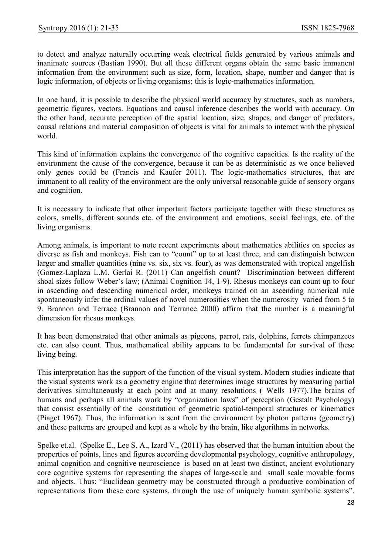to detect and analyze naturally occurring weak electrical fields generated by various animals and inanimate sources (Bastian 1990). But all these different organs obtain the same basic immanent information from the environment such as size, form, location, shape, number and danger that is logic information, of objects or living organisms; this is logic-mathematics information.

In one hand, it is possible to describe the physical world accuracy by structures, such as numbers, geometric figures, vectors. Equations and causal inference describes the world with accuracy. On the other hand, accurate perception of the spatial location, size, shapes, and danger of predators, causal relations and material composition of objects is vital for animals to interact with the physical world.

This kind of information explains the convergence of the cognitive capacities. Is the reality of the environment the cause of the convergence, because it can be as deterministic as we once believed only genes could be (Francis and Kaufer 2011). The logic-mathematics structures, that are immanent to all reality of the environment are the only universal reasonable guide of sensory organs and cognition.

It is necessary to indicate that other important factors participate together with these structures as colors, smells, different sounds etc. of the environment and emotions, social feelings, etc. of the living organisms.

Among animals, is important to note recent experiments about mathematics abilities on species as diverse as fish and monkeys. Fish can to "count" up to at least three, and can distinguish between larger and smaller quantities (nine vs. six, six vs. four), as was demonstrated with tropical angelfish (Gomez-Laplaza L.M. Gerlai R. (2011) Can angelfish count? Discrimination between different shoal sizes follow Weber's law; (Animal Cognition 14, 1-9). Rhesus monkeys can count up to four in ascending and descending numerical order, monkeys trained on an ascending numerical rule spontaneously infer the ordinal values of novel numerosities when the numerosity varied from 5 to 9. Brannon and Terrace (Brannon and Terrance 2000) affirm that the number is a meaningful dimension for rhesus monkeys.

It has been demonstrated that other animals as pigeons, parrot, rats, dolphins, ferrets chimpanzees etc. can also count. Thus, mathematical ability appears to be fundamental for survival of these living being.

This interpretation has the support of the function of the visual system. Modern studies indicate that the visual systems work as a geometry engine that determines image structures by measuring partial derivatives simultaneously at each point and at many resolutions ( Wells 1977).The brains of humans and perhaps all animals work by "organization laws" of perception (Gestalt Psychology) that consist essentially of the constitution of geometric spatial-temporal structures or kinematics (Piaget 1967). Thus, the information is sent from the environment by photon patterns (geometry) and these patterns are grouped and kept as a whole by the brain, like algorithms in networks.

Spelke et.al. (Spelke E., Lee S. A., Izard V., (2011) has observed that the human intuition about the properties of points, lines and figures according developmental psychology, cognitive anthropology, animal cognition and cognitive neuroscience is based on at least two distinct, ancient evolutionary core cognitive systems for representing the shapes of large-scale and small scale movable forms and objects. Thus: "Euclidean geometry may be constructed through a productive combination of representations from these core systems, through the use of uniquely human symbolic systems".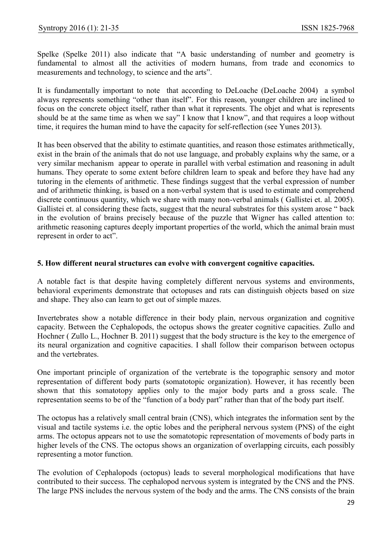Spelke (Spelke 2011) also indicate that "A basic understanding of number and geometry is fundamental to almost all the activities of modern humans, from trade and economics to measurements and technology, to science and the arts".

It is fundamentally important to note that according to DeLoache (DeLoache 2004) a symbol always represents something "other than itself". For this reason, younger children are inclined to focus on the concrete object itself, rather than what it represents. The objet and what is represents should be at the same time as when we say" I know that I know", and that requires a loop without time, it requires the human mind to have the capacity for self-reflection (see Yunes 2013).

It has been observed that the ability to estimate quantities, and reason those estimates arithmetically, exist in the brain of the animals that do not use language, and probably explains why the same, or a very similar mechanism appear to operate in parallel with verbal estimation and reasoning in adult humans. They operate to some extent before children learn to speak and before they have had any tutoring in the elements of arithmetic. These findings suggest that the verbal expression of number and of arithmetic thinking, is based on a non-verbal system that is used to estimate and comprehend discrete continuous quantity, which we share with many non-verbal animals ( Gallistei et. al. 2005). Gallistei et. al considering these facts, suggest that the neural substrates for this system arose " back in the evolution of brains precisely because of the puzzle that Wigner has called attention to: arithmetic reasoning captures deeply important properties of the world, which the animal brain must represent in order to act".

#### 5. How different neural structures can evolve with convergent cognitive capacities.

A notable fact is that despite having completely different nervous systems and environments, behavioral experiments demonstrate that octopuses and rats can distinguish objects based on size and shape. They also can learn to get out of simple mazes.

Invertebrates show a notable difference in their body plain, nervous organization and cognitive capacity. Between the Cephalopods, the octopus shows the greater cognitive capacities. Zullo and Hochner ( Zullo L., Hochner B. 2011) suggest that the body structure is the key to the emergence of its neural organization and cognitive capacities. I shall follow their comparison between octopus and the vertebrates.

One important principle of organization of the vertebrate is the topographic sensory and motor representation of different body parts (somatotopic organization). However, it has recently been shown that this somatotopy applies only to the major body parts and a gross scale. The representation seems to be of the "function of a body part" rather than that of the body part itself.

The octopus has a relatively small central brain (CNS), which integrates the information sent by the visual and tactile systems i.e. the optic lobes and the peripheral nervous system (PNS) of the eight arms. The octopus appears not to use the somatotopic representation of movements of body parts in higher levels of the CNS. The octopus shows an organization of overlapping circuits, each possibly representing a motor function.

The evolution of Cephalopods (octopus) leads to several morphological modifications that have contributed to their success. The cephalopod nervous system is integrated by the CNS and the PNS. The large PNS includes the nervous system of the body and the arms. The CNS consists of the brain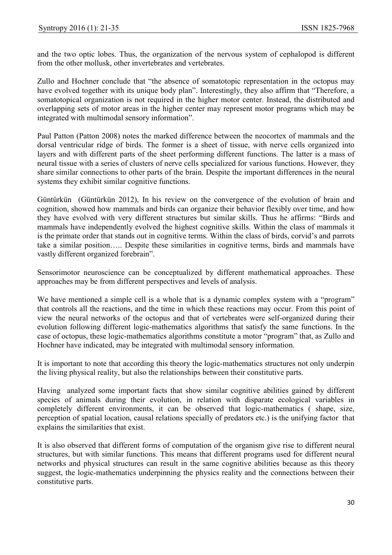and the two optic lobes. Thus, the organization of the nervous system of cephalopod is different from the other mollusk, other invertebrates and vertebrates.

Zullo and Hochner conclude that "the absence of somatotopic representation in the octopus may have evolved together with its unique body plan". Interestingly, they also affirm that "Therefore, a somatotopical organization is not required in the higher motor center. Instead, the distributed and overlapping sets of motor areas in the higher center may represent motor programs which may be integrated with multimodal sensory information".

Paul Patton (Patton 2008) notes the marked difference between the neocortex of mammals and the dorsal ventricular ridge of birds. The former is a sheet of tissue, with nerve cells organized into layers and with different parts of the sheet performing different functions. The latter is a mass of neural tissue with a series of clusters of nerve cells specialized for various functions. However, they share similar connections to other parts of the brain. Despite the important differences in the neural systems they exhibit similar cognitive functions.

Güntürkün (Güntürkün 2012), In his review on the convergence of the evolution of brain and cognition, showed how mammals and birds can organize their behavior flexibly over time, and how they have evolved with very different structures but similar skills. Thus he affirms: "Birds and mammals have independently evolved the highest cognitive skills. Within the class of mammals it is the primate order that stands out in cognitive terms. Within the class of birds, corvid's and parrots take a similar position….. Despite these similarities in cognitive terms, birds and mammals have vastly different organized forebrain".

Sensorimotor neuroscience can be conceptualized by different mathematical approaches. These approaches may be from different perspectives and levels of analysis.

We have mentioned a simple cell is a whole that is a dynamic complex system with a "program" that controls all the reactions, and the time in which these reactions may occur. From this point of view the neural networks of the octopus and that of vertebrates were self-organized during their evolution following different logic-mathematics algorithms that satisfy the same functions. In the case of octopus, these logic-mathematics algorithms constitute a motor "program" that, as Zullo and Hochner have indicated, may be integrated with multimodal sensory information.

It is important to note that according this theory the logic-mathematics structures not only underpin the living physical reality, but also the relationships between their constitutive parts.

Having analyzed some important facts that show similar cognitive abilities gained by different species of animals during their evolution, in relation with disparate ecological variables in completely different environments, it can be observed that logic-mathematics ( shape, size, perception of spatial location, causal relations specially of predators etc.) is the unifying factor that explains the similarities that exist.

It is also observed that different forms of computation of the organism give rise to different neural structures, but with similar functions. This means that different programs used for different neural networks and physical structures can result in the same cognitive abilities because as this theory suggest, the logic-mathematics underpinning the physics reality and the connections between their constitutive parts.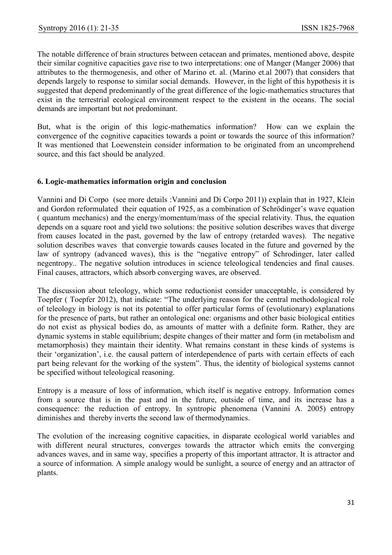The notable difference of brain structures between cetacean and primates, mentioned above, despite their similar cognitive capacities gave rise to two interpretations: one of Manger (Manger 2006) that attributes to the thermogenesis, and other of Marino et. al. (Marino et.al 2007) that considers that depends largely to response to similar social demands. However, in the light of this hypothesis it is suggested that depend predominantly of the great difference of the logic-mathematics structures that exist in the terrestrial ecological environment respect to the existent in the oceans. The social demands are important but not predominant.

But, what is the origin of this logic-mathematics information? How can we explain the convergence of the cognitive capacities towards a point or towards the source of this information? It was mentioned that Loewenstein consider information to be originated from an uncomprehend source, and this fact should be analyzed.

#### 6. Logic-mathematics information origin and conclusion

Vannini and Di Corpo (see more details :Vannini and Di Corpo 2011)) explain that in 1927, Klein and Gordon reformulated their equation of 1925, as a combination of Schrödinger's wave equation ( quantum mechanics) and the energy/momentum/mass of the special relativity. Thus, the equation depends on a square root and yield two solutions: the positive solution describes waves that diverge from causes located in the past, governed by the law of entropy (retarded waves). The negative solution describes waves that convergie towards causes located in the future and governed by the law of syntropy (advanced waves), this is the "negative entropy" of Schrodinger, later called negentropy.. The negative solution introduces in science teleological tendencies and final causes. Final causes, attractors, which absorb converging waves, are observed.

The discussion about teleology, which some reductionist consider unacceptable, is considered by Toepfer ( Toepfer 2012), that indicate: "The underlying reason for the central methodological role of teleology in biology is not its potential to offer particular forms of (evolutionary) explanations for the presence of parts, but rather an ontological one: organisms and other basic biological entities do not exist as physical bodies do, as amounts of matter with a definite form. Rather, they are dynamic systems in stable equilibrium; despite changes of their matter and form (in metabolism and metamorphosis) they maintain their identity. What remains constant in these kinds of systems is their 'organization', i.e. the causal pattern of interdependence of parts with certain effects of each part being relevant for the working of the system". Thus, the identity of biological systems cannot be specified without teleological reasoning.

Entropy is a measure of loss of information, which itself is negative entropy. Information comes from a source that is in the past and in the future, outside of time, and its increase has a consequence: the reduction of entropy. In syntropic phenomena (Vannini A. 2005) entropy diminishes and thereby inverts the second law of thermodynamics.

The evolution of the increasing cognitive capacities, in disparate ecological world variables and with different neural structures, converges towards the attractor which emits the converging advances waves, and in same way, specifies a property of this important attractor. It is attractor and a source of information. A simple analogy would be sunlight, a source of energy and an attractor of plants.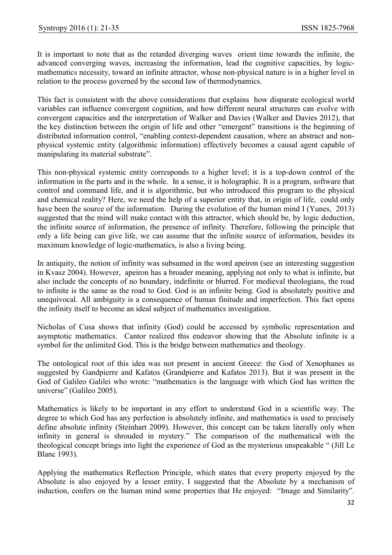It is important to note that as the retarded diverging waves orient time towards the infinite, the advanced converging waves, increasing the information, lead the cognitive capacities, by logicmathematics necessity, toward an infinite attractor, whose non-physical nature is in a higher level in relation to the process governed by the second law of thermodynamics.

This fact is consistent with the above considerations that explains how disparate ecological world variables can influence convergent cognition, and how different neural structures can evolve with convergent capacities and the interpretation of Walker and Davies (Walker and Davies 2012), that the key distinction between the origin of life and other "emergent" transitions is the beginning of distributed information control, "enabling context-dependent causation, where an abstract and nonphysical systemic entity (algorithmic information) effectively becomes a causal agent capable of manipulating its material substrate".

This non-physical systemic entity corresponds to a higher level; it is a top-down control of the information in the parts and in the whole. In a sense, it is holographic. It is a program, software that control and command life, and it is algorithmic, but who introduced this program to the physical and chemical reality? Here, we need the help of a superior entity that, in origin of life, could only have been the source of the information. During the evolution of the human mind I (Yunes, 2013) suggested that the mind will make contact with this attractor, which should be, by logic deduction, the infinite source of information, the presence of infinity. Therefore, following the principle that only a life being can give life, we can assume that the infinite source of information, besides its maximum knowledge of logic-mathematics, is also a living being.

In antiquity, the notion of infinity was subsumed in the word apeiron (see an interesting suggestion in Kvasz 2004). However, apeiron has a broader meaning, applying not only to what is infinite, but also include the concepts of no boundary, indefinite or blurred. For medieval theologians, the road to infinite is the same as the road to God. God is an infinite being. God is absolutely positive and unequivocal. All ambiguity is a consequence of human finitude and imperfection. This fact opens the infinity itself to become an ideal subject of mathematics investigation.

Nicholas of Cusa shows that infinity (God) could be accessed by symbolic representation and asymptotic mathematics. Cantor realized this endeavor showing that the Absolute infinite is a symbol for the unlimited God. This is the bridge between mathematics and theology.

The ontological root of this idea was not present in ancient Greece: the God of Xenophanes as suggested by Gandpierre and Kafatos (Grandpierre and Kafatos 2013). But it was present in the God of Galileo Galilei who wrote: "mathematics is the language with which God has written the universe" (Galileo 2005).

Mathematics is likely to be important in any effort to understand God in a scientific way. The degree to which God has any perfection is absolutely infinite, and mathematics is used to precisely define absolute infinity (Steinhart 2009). However, this concept can be taken literally only when infinity in general is shrouded in mystery." The comparison of the mathematical with the theological concept brings into light the experience of God as the mysterious unspeakable " (Jill Le Blanc 1993).

Applying the mathematics Reflection Principle, which states that every property enjoyed by the Absolute is also enjoyed by a lesser entity, I suggested that the Absolute by a mechanism of induction, confers on the human mind some properties that He enjoyed: "Image and Similarity".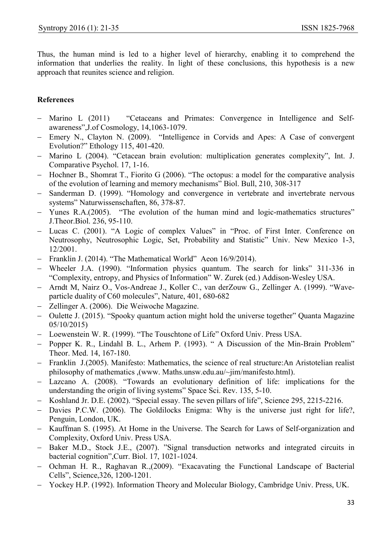Thus, the human mind is led to a higher level of hierarchy, enabling it to comprehend the information that underlies the reality. In light of these conclusions, this hypothesis is a new approach that reunites science and religion.

# References

- Marino L (2011) "Cetaceans and Primates: Convergence in Intelligence and Selfawareness",J.of Cosmology, 14,1063-1079.
- Emery N., Clayton N. (2009). "Intelligence in Corvids and Apes: A Case of convergent Evolution?" Ethology 115, 401-420.
- Marino L (2004). "Cetacean brain evolution: multiplication generates complexity", Int. J. Comparative Psychol. 17, 1-16.
- $-$  Hochner B., Shomrat T., Fiorito G (2006). "The octopus: a model for the comparative analysis of the evolution of learning and memory mechanisms" Biol. Bull, 210, 308-317
- Sanderman D. (1999). "Homology and convergence in vertebrate and invertebrate nervous systems" Naturwissenschaften, 86, 378-87.
- Yunes R.A.(2005). "The evolution of the human mind and logic-mathematics structures" J.Theor.Biol. 236, 95-110.
- Lucas C. (2001). "A Logic of complex Values" in "Proc. of First Inter. Conference on Neutrosophy, Neutrosophic Logic, Set, Probability and Statistic" Univ. New Mexico 1-3, 12/2001.
- Franklin J. (2014). "The Mathematical World" Aeon 16/9/2014).
- Wheeler J.A. (1990). "Information physics quantum. The search for links" 311-336 in "Complexity, entropy, and Physics of Information" W. Zurek (ed.) Addison-Wesley USA.
- Arndt M, Nairz O., Vos-Andreae J., Koller C., van derZouw G., Zellinger A. (1999). "Waveparticle duality of C60 molecules", Nature, 401, 680-682
- Zellinger A. (2006). Die Weiwoche Magazine.
- Oulette J. (2015). "Spooky quantum action might hold the universe together" Quanta Magazine 05/10/2015)
- Loewenstein W. R. (1999). "The Touschtone of Life" Oxford Univ. Press USA.
- Popper K. R., Lindahl B. L., Arhem P. (1993). " A Discussion of the Min-Brain Problem" Theor. Med. 14, 167-180.
- Franklin J.(2005). Manifesto: Mathematics, the science of real structure:An Aristotelian realist philosophy of mathematics ,(www. Maths.unsw.edu.au/~jim/manifesto.html).
- Lazcano A. (2008). "Towards an evolutionary definition of life: implications for the understanding the origin of living systems" Space Sci. Rev. 135, 5-10.
- Koshland Jr. D.E. (2002). "Special essay. The seven pillars of life", Science 295, 2215-2216.
- Davies P.C.W. (2006). The Goldilocks Enigma: Why is the universe just right for life?, Penguin, London, UK.
- Kauffman S. (1995). At Home in the Universe. The Search for Laws of Self-organization and Complexity, Oxford Univ. Press USA.
- Baker M.D., Stock J.E., (2007). "Signal transduction networks and integrated circuits in bacterial cognition",Curr. Biol. 17, 1021-1024.
- Ochman H. R., Raghavan R.,(2009). "Exacavating the Functional Landscape of Bacterial Cells", Science,326, 1200-1201.
- Yockey H.P. (1992). Information Theory and Molecular Biology, Cambridge Univ. Press, UK.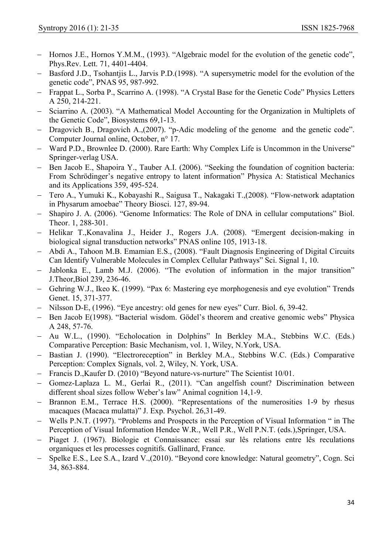- Hornos J.E., Hornos Y.M.M., (1993). "Algebraic model for the evolution of the genetic code", Phys.Rev. Lett. 71, 4401-4404.
- Basford J.D., Tsohantjis L., Jarvis P.D.(1998). "A supersymetric model for the evolution of the genetic code", PNAS 95, 987-992.
- Frappat L., Sorba P., Scarrino A. (1998). "A Crystal Base for the Genetic Code" Physics Letters A 250, 214-221.
- Sciarrino A. (2003). "A Mathematical Model Accounting for the Organization in Multiplets of the Genetic Code", Biosystems 69,1-13.
- Dragovich B., Dragovich A., (2007). "p-Adic modeling of the genome and the genetic code". Computer Journal online, October, n° 17.
- Ward P.D., Brownlee D. (2000). Rare Earth: Why Complex Life is Uncommon in the Universe" Springer-verlag USA.
- Ben Jacob E., Shapoira Y., Tauber A.I. (2006). "Seeking the foundation of cognition bacteria: From Schrödinger's negative entropy to latent information" Physica A: Statistical Mechanics and its Applications 359, 495-524.
- Tero A., Yumuki K., Kobayashi R., Saigusa T., Nakagaki T.,(2008). "Flow-network adaptation in Physarum amoebae" Theory Biosci. 127, 89-94.
- Shapiro J. A. (2006). "Genome Informatics: The Role of DNA in cellular computations" Biol. Theor. 1, 288-301.
- Helikar T., Konavalina J., Heider J., Rogers J.A. (2008). "Emergent decision-making in biological signal transduction networks" PNAS online 105, 1913-18.
- Abdi A., Tahoon M.B. Emamian E.S., (2008). "Fault Diagnosis Engineering of Digital Circuits Can Identify Vulnerable Molecules in Complex Cellular Pathways" Sci. Signal 1, 10.
- Jablonka E., Lamb M.J. (2006). "The evolution of information in the major transition" J.Theor,Biol 239, 236-46.
- Gehring W.J., Ikeo K. (1999). "Pax 6: Mastering eye morphogenesis and eye evolution" Trends Genet. 15, 371-377.
- Nilsson D-E, (1996). "Eye ancestry: old genes for new eyes" Curr. Biol. 6, 39-42.
- Ben Jacob E(1998). "Bacterial wisdom. Gödel's theorem and creative genomic webs" Physica A 248, 57-76.
- Au W.L., (1990). "Echolocation in Dolphins" In Berkley M.A., Stebbins W.C. (Eds.) Comparative Perception: Basic Mechanism, vol. 1, Wiley, N.York, USA.
- Bastian J. (1990). "Electroreception" in Berkley M.A., Stebbins W.C. (Eds.) Comparative Perception: Complex Signals, vol. 2, Wiley, N. York, USA.
- Francis D., Kaufer D. (2010) "Bevond nature-vs-nurture" The Scientist 10/01.
- Gomez-Laplaza L. M., Gerlai R., (2011). "Can angelfish count? Discrimination between different shoal sizes follow Weber's law" Animal cognition 14,1-9.
- Brannon E.M., Terrace H.S. (2000). "Representations of the numerosities 1-9 by rhesus macaques (Macaca mulatta)" J. Exp. Psychol. 26,31-49.
- Wells P.N.T. (1997). "Problems and Prospects in the Perception of Visual Information " in The Perception of Visual Information Hendee W.R., Well P.R., Well P.N.T. (eds.),Springer, USA.
- Piaget J. (1967). Biologie et Connaissance: essai sur lês relations entre lês reculations organiques et les processes cognitifs. Gallinard, France.
- Spelke E.S., Lee S.A., Izard V.,(2010). "Beyond core knowledge: Natural geometry", Cogn. Sci 34, 863-884.